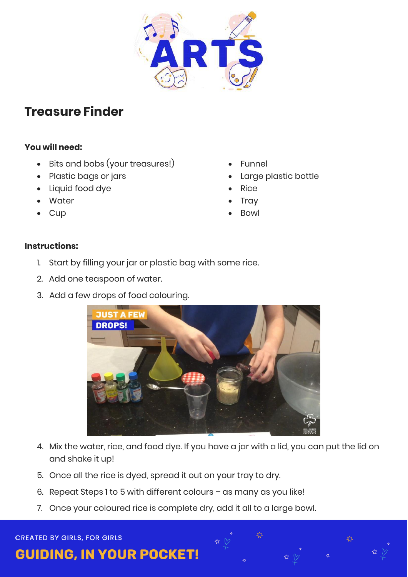

## **Treasure Finder**

## **You will need:**

- Bits and bobs (your treasures!)
- Plastic bags or jars
- Liquid food dye
- Water
- **Cup**
- Funnel
- Large plastic bottle

<mark>∡</mark>کے

- Rice
- **Tray**
- Bowl

## **Instructions:**

- 1. Start by filling your jar or plastic bag with some rice.
- 2. Add one teaspoon of water.
- 3. Add a few drops of food colouring.



- 4. Mix the water, rice, and food dye. If you have a jar with a lid, you can put the lid on and shake it up!
- 5. Once all the rice is dyed, spread it out on your tray to dry.
- 6. Repeat Steps 1 to 5 with different colours as many as you like!
- 7. Once your coloured rice is complete dry, add it all to a large bowl.

**CREATED BY GIRLS, FOR GIRLS** 

**GUIDING, IN YOUR POCKET!**